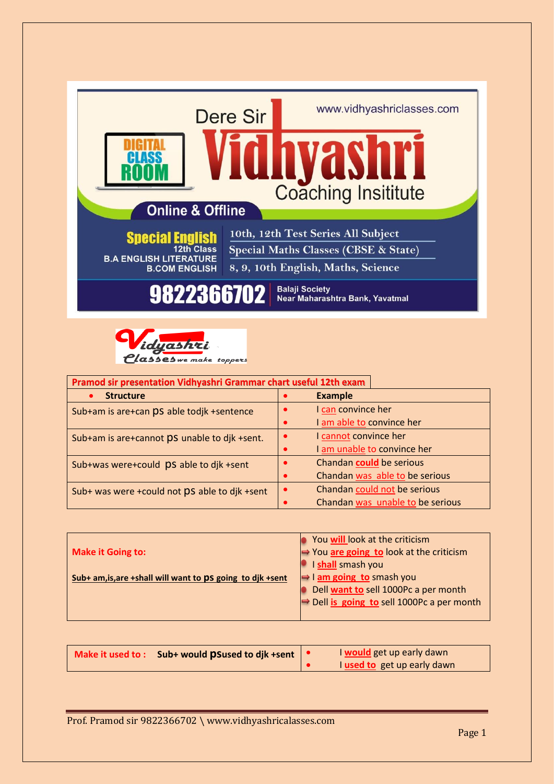|                                                                                                                                                                                                                                     | <b>Dere Sir</b> | www.vidhyashriclasses.com                                |
|-------------------------------------------------------------------------------------------------------------------------------------------------------------------------------------------------------------------------------------|-----------------|----------------------------------------------------------|
| <b>Online &amp; Offline</b>                                                                                                                                                                                                         |                 | VASI<br>Coaching Insititute                              |
| 10th, 12th Test Series All Subject<br><b>Special English</b><br><b>12th Class</b><br><b>Special Maths Classes (CBSE &amp; State)</b><br><b>B.A ENGLISH LITERATURE</b><br>8, 9, 10th English, Maths, Science<br><b>B.COM ENGLISH</b> |                 |                                                          |
| 9822366702                                                                                                                                                                                                                          |                 | <b>Balaji Society</b><br>Near Maharashtra Bank, Yavatmal |



#### **Pramod sir presentation Vidhyashri Grammar chart useful 12th exam**

| <b>Structure</b>                              | <b>Example</b>                   |
|-----------------------------------------------|----------------------------------|
| Sub+am is are+can pS able todjk +sentence     | I can convince her               |
|                                               | I am able to convince her        |
| Sub+am is are+cannot ps unable to djk +sent.  | I cannot convince her            |
|                                               | I am unable to convince her      |
| Sub+was were+could ps able to djk +sent       | Chandan could be serious         |
|                                               | Chandan was able to be serious   |
| Sub+ was were +could not pS able to djk +sent | Chandan could not be serious     |
|                                               | Chandan was unable to be serious |

|                                                            | You <b>will</b> look at the criticism                |
|------------------------------------------------------------|------------------------------------------------------|
| <b>Make it Going to:</b>                                   | $\Rightarrow$ You are going to look at the criticism |
|                                                            | I shall smash you                                    |
| Sub+ am, is, are +shall will want to ps going to djk +sent | $\Rightarrow$ I am going to smash you                |
|                                                            | Dell want to sell 1000Pc a per month                 |
|                                                            | → Dell is going to sell 1000Pc a per month           |
|                                                            |                                                      |

| Make it used to : Sub+ would <b>pSused to djk +sent</b> $\cdot$ | I would get up early dawn   |
|-----------------------------------------------------------------|-----------------------------|
|                                                                 | I used to get up early dawn |

Prof. Pramod sir 9822366702 \ www.vidhyashricalasses.com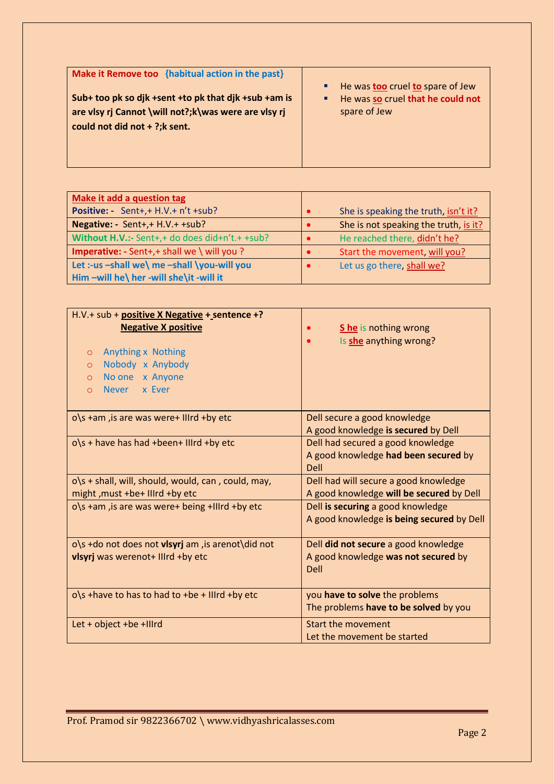| Make it Remove too {habitual action in the past}     | He was too cruel to spare of Jew<br>٠  |
|------------------------------------------------------|----------------------------------------|
| Sub+ too pk so djk +sent +to pk that djk +sub +am is | He was so cruel that he could not<br>٠ |
| are vlsy rj Cannot \will not?;k\was were are vlsy rj | spare of Jew                           |
| could not did not + ?; k sent.                       |                                        |
|                                                      |                                        |
|                                                      |                                        |

| Make it add a question tag                        |                                       |
|---------------------------------------------------|---------------------------------------|
| Positive: - Sent+,+ H.V.+ n't +sub?               | She is speaking the truth, isn't it?  |
| Negative: - Sent+,+ H.V.+ +sub?                   | She is not speaking the truth, is it? |
| Without H.V.:- Sent+,+ do does did+n't.+ +sub?    | He reached there, didn't he?          |
| Imperative: - Sent+,+ shall we \ will you ?       | Start the movement, will you?         |
| Let :- us -- shall we \ me -- shall \you-will you | Let us go there, shall we?            |
| Him -will he\ her -will she\it -will it           |                                       |

| H.V.+ sub + positive X Negative + sentence +?<br><b>Negative X positive</b><br><b>Anything x Nothing</b><br>$\circ$<br>Nobody x Anybody<br>$\Omega$<br>No one x Anyone<br>$\Omega$<br>Never x Ever<br>$\Omega$ | S he is nothing wrong<br>Is she anything wrong?                                     |
|----------------------------------------------------------------------------------------------------------------------------------------------------------------------------------------------------------------|-------------------------------------------------------------------------------------|
| o\s +am, is are was were+ IIIrd +by etc                                                                                                                                                                        | Dell secure a good knowledge<br>A good knowledge is secured by Dell                 |
| $o\$ + have has had +been+ IIIrd +by etc                                                                                                                                                                       | Dell had secured a good knowledge<br>A good knowledge had been secured by<br>Dell   |
| $o\$ + shall, will, should, would, can, could, may,<br>might, must +be+ IIIrd +by etc                                                                                                                          | Dell had will secure a good knowledge<br>A good knowledge will be secured by Dell   |
| $o\$ +am , is are was were + being +IIIrd + by etc                                                                                                                                                             | Dell is securing a good knowledge<br>A good knowledge is being secured by Dell      |
| o\s +do not does not vlsyrj am, is arenot\did not<br>vlsyrj was werenot+ IIIrd +by etc                                                                                                                         | Dell did not secure a good knowledge<br>A good knowledge was not secured by<br>Dell |
| $o\$ + have to has to had to + be + IIIrd + by etc                                                                                                                                                             | you have to solve the problems<br>The problems have to be solved by you             |
| Let + object +be +Illrd                                                                                                                                                                                        | Start the movement<br>Let the movement be started                                   |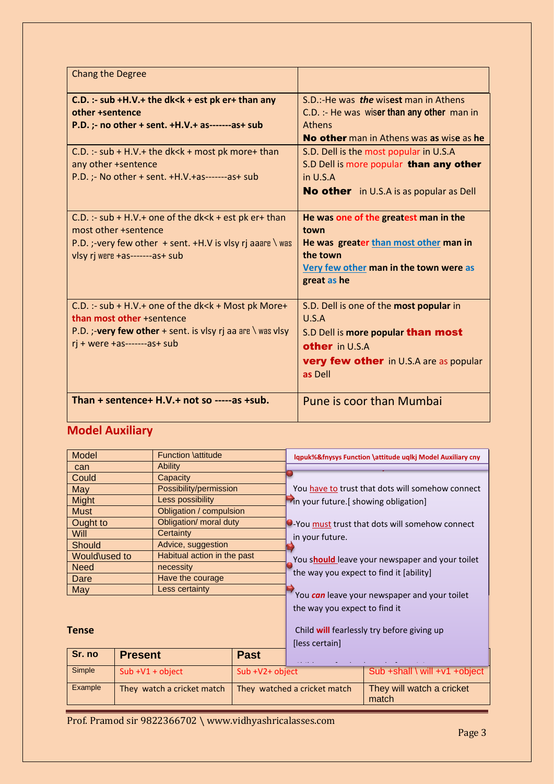| <b>Chang the Degree</b>                                                                                                                                                                                         |                                                                                                                                                                      |
|-----------------------------------------------------------------------------------------------------------------------------------------------------------------------------------------------------------------|----------------------------------------------------------------------------------------------------------------------------------------------------------------------|
| C.D. :- sub $+H.V.+$ the dk <k +="" any<br="" er+="" est="" pk="" than="">other +sentence<br/>P.D. ;- no other + sent. +H.V.+ as-------as+ sub</k>                                                              | S.D.:-He was the wisest man in Athens<br>C.D. :- He was wiser than any other man in<br><b>Athens</b><br>No other man in Athens was as wise as he                     |
| C.D. :- sub + H.V.+ the dk <k +="" more+="" most="" pk="" than<br="">any other +sentence<br/>P.D. ;- No other + sent. +H.V.+as-------as+ sub</k>                                                                | S.D. Dell is the most popular in U.S.A<br>S.D Dell is more popular than any other<br>in $U.S.A$<br><b>No other</b> in U.S.A is as popular as Dell                    |
| C.D. :- sub + H.V. + one of the dk <k +="" er="" est="" pk="" than<br="">most other +sentence<br/>P.D. ;-very few other + sent. <math>+H.V</math> is vlsy rj aaare \ was<br/>vlsy rj were +as-------as+ sub</k> | He was one of the greatest man in the<br>town<br>He was greater than most other man in<br>the town<br>Very few other man in the town were as<br>great as he          |
| C.D. :- sub + H.V. + one of the $dk < k$ + Most pk More+<br>than most other +sentence<br>P.D. ;-very few other + sent. is vlsy rj aa are \ was vlsy<br>$ri + were + as --- as + sub$                            | S.D. Dell is one of the most popular in<br>U.S.A<br>S.D Dell is more popular than most<br>other in U.S.A<br><b>very few other</b> in U.S.A are as popular<br>as Dell |
| Than + sentence+ H.V.+ not so -----as +sub.                                                                                                                                                                     | Pune is coor than Mumbai                                                                                                                                             |

# **Model Auxiliary**

| <b>Model</b>  | <b>Function \attitude</b>   | Iqpuk%&fnysys Function \attitude uqlkj Model Auxiliary cny |
|---------------|-----------------------------|------------------------------------------------------------|
| can           | Ability                     |                                                            |
| Could         | Capacity                    |                                                            |
| May           | Possibility/permission      | You have to trust that dots will somehow connect           |
| Might         | Less possibility            | in your future.[ showing obligation]                       |
| <b>Must</b>   | Obligation / compulsion     |                                                            |
| Ought to      | Obligation/ moral duty      | <b>D</b> -You must trust that dots will somehow connect    |
| <b>Will</b>   | Certainty                   | in your future.                                            |
| Should        | Advice, suggestion          |                                                            |
| Would\used to | Habitual action in the past | You should leave your newspaper and your toilet            |
| <b>Need</b>   | necessity                   |                                                            |
| Dare          | Have the courage            | the way you expect to find it [ability]                    |
| May           | Less certainty              |                                                            |
|               |                             | You can leave your newspaper and your toilet               |
|               |                             | the way you expect to find it                              |

#### **Tense**

|         |                            |                 | [less certain]               |                                    |
|---------|----------------------------|-----------------|------------------------------|------------------------------------|
| Sr. no  | <b>Present</b>             | <b>Past</b>     |                              |                                    |
| Simple  | $Sub +V1 + object$         | Sub +V2+ object |                              | Sub +shall \ will +v1 +object      |
| Example | They watch a cricket match |                 | They watched a cricket match | They will watch a cricket<br>match |

Child **will** fearlessly try before giving up

Prof. Pramod sir 9822366702 \ www.vidhyashricalasses.com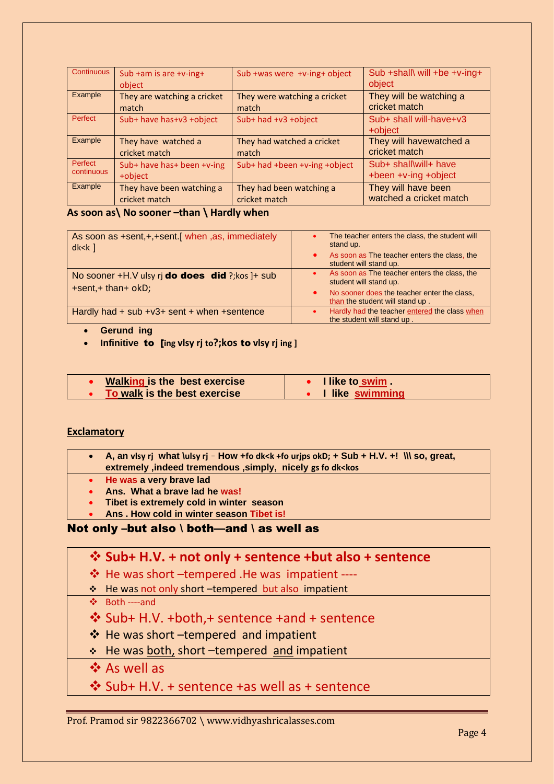| Continuous | Sub +am is are +v-ing+<br>object | Sub +was were $+v$ -ing+ object | Sub +shall\ will +be +v-ing+<br>object |
|------------|----------------------------------|---------------------------------|----------------------------------------|
| Example    | They are watching a cricket      | They were watching a cricket    | They will be watching a                |
|            | match                            | match                           | cricket match                          |
| Perfect    | Sub+ have has+v3 +object         | Sub+ had +v3 +object            | Sub+ shall will-have+v3<br>+object     |
| Example    | They have watched a              | They had watched a cricket      | They will havewatched a                |
|            | cricket match                    | match                           | cricket match                          |
| Perfect    | Sub+ have has+ been +v-ing       | Sub+ had +been +v-ing +object   | Sub+ shall\will+ have                  |
| continuous | +object                          |                                 | +been +v-ing +object                   |
| Example    | They have been watching a        | They had been watching a        | They will have been                    |
|            | cricket match                    | cricket match                   | watched a cricket match                |

#### **As soon as\ No sooner –than \ Hardly when**

| As soon as +sent, +, +sent. [ when , as, immediately<br>$dk < k$ ]     | The teacher enters the class, the student will<br>stand up.<br>As soon as The teacher enters the class, the<br>student will stand up.                    |
|------------------------------------------------------------------------|----------------------------------------------------------------------------------------------------------------------------------------------------------|
| No sooner +H.V ulsy rj do does did ?; kos ]+ sub<br>+sent,+ than+ okD; | As soon as The teacher enters the class, the<br>student will stand up.<br>No sooner does the teacher enter the class,<br>than the student will stand up. |
| Hardly had $+$ sub $+$ v3 $+$ sent $+$ when $+$ sentence               | Hardly had the teacher entered the class when<br>the student will stand up.                                                                              |

#### • **Gerund ing**

• **Infinitive** to [**ing vlsy rj to?;kos** to **vlsy rj ing ]**

| <b>Walking is the best exercise</b> | <b>I like to swim</b> |
|-------------------------------------|-----------------------|
| To walk is the best exercise        | • I like swimming     |

#### **Exclamatory**

| • A, an visy rj what luisy rj - How + fo dk <k +="" +!="" <math="" fo="" h.v.="" okd;="" sub="" urjps="">\mathbb N so, great,</k> |
|-----------------------------------------------------------------------------------------------------------------------------------|
| extremely, indeed tremendous, simply, nicely gs fo dk <kos< th=""></kos<>                                                         |

- **He was a very brave lad**
- **Ans. What a brave lad he was!**
- **Tibet is extremely cold in winter season**
- **Ans . How cold in winter season Tibet is!**

#### Not only –but also  $\setminus$  both—and  $\setminus$  as well as

### ❖ **Sub+ H.V. + not only + sentence +but also + sentence**

- ❖ He was short –tempered .He was impatient ----
- ❖ He was not only short –tempered but also impatient
- ❖ Both ----and
- ❖ Sub+ H.V. +both,+ sentence +and + sentence
- ❖ He was short –tempered and impatient
- ❖ He was both, short –tempered and impatient
- ❖ As well as
- ❖ Sub+ H.V. + sentence +as well as + sentence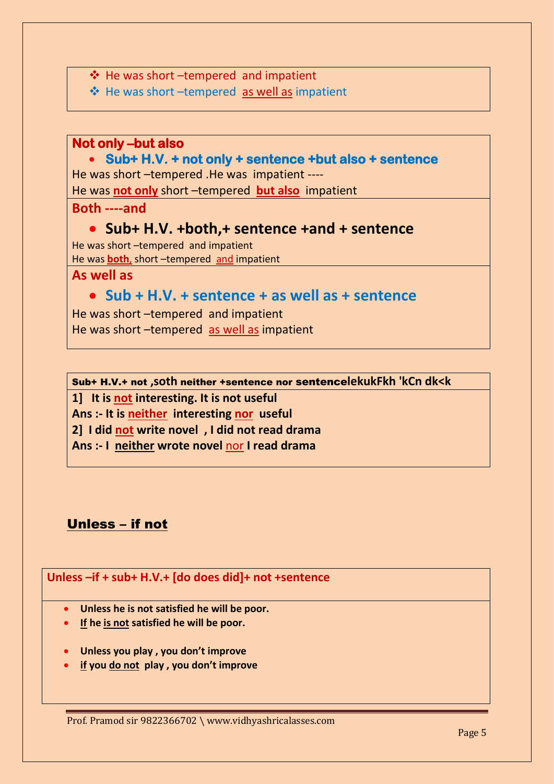- ❖ He was short –tempered and impatient
- ❖ He was short –tempered as well as impatient

## **Not only –but also**

# • **Sub+ H.V. + not only + sentence +but also + sentence**

He was short –tempered .He was impatient ----

He was **not only** short –tempered **but also** impatient

**Both ----and**

## • **Sub+ H.V. +both,+ sentence +and + sentence**

He was short –tempered and impatient

He was **both**, short –tempered and impatient

**As well as** 

## • **Sub + H.V. + sentence + as well as + sentence**

He was short –tempered and impatient He was short –tempered as well as impatient

Sub+ H.V.+ not **,soth** neither +sentence nor sentence**lekukFkh 'kCn dk<k**

**1] It is not interesting. It is not useful** 

**Ans :- It is neither interesting nor useful** 

**2] I did not write novel , I did not read drama** 

**Ans :- I neither wrote novel** nor **I read drama**

## Unless – if not

### **Unless –if + sub+ H.V.+ [do does did]+ not +sentence**

- **Unless he is not satisfied he will be poor.**
- **If he is not satisfied he will be poor.**
- **Unless you play , you don't improve**
- **if you do not play , you don't improve**

Prof. Pramod sir 9822366702 \ www.vidhyashricalasses.com